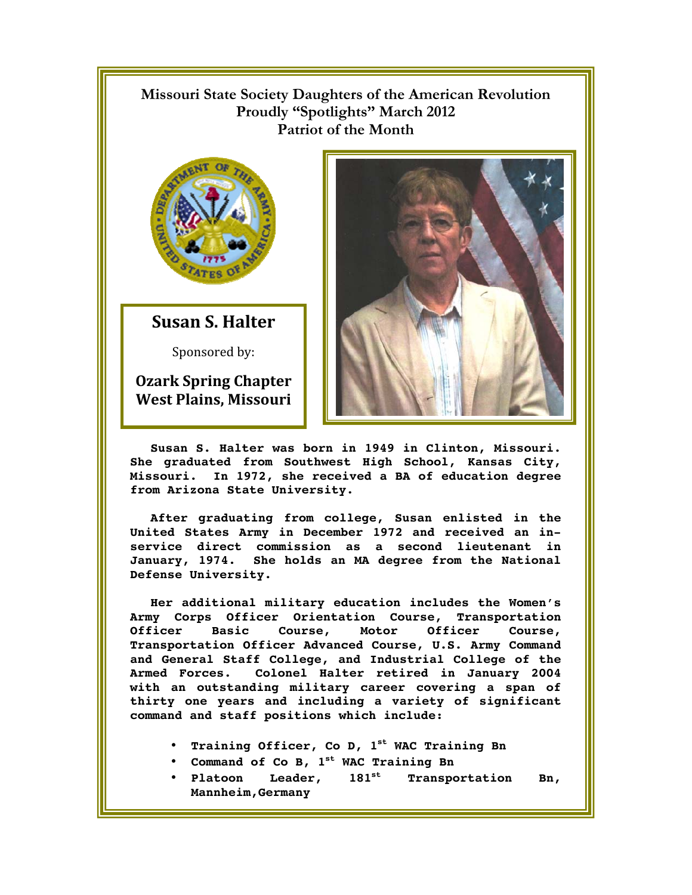## **Missouri State Society Daughters of the American Revolution Proudly "Spotlights" March 2012 Patriot of the Month**



**Susan S. Halter** 

Sponsored by:

**Ozark Spring Chapter West Plains, Missouri** 



**Susan S. Halter was born in 1949 in Clinton, Missouri. She graduated from Southwest High School, Kansas City, Missouri. In 1972, she received a BA of education degree from Arizona State University.** 

**After graduating from college, Susan enlisted in the United States Army in December 1972 and received an inservice direct commission as a second lieutenant in January, 1974. She holds an MA degree from the National Defense University.** 

**Her additional military education includes the Women's Army Corps Officer Orientation Course, Transportation Officer Basic Course, Motor Officer Course, Transportation Officer Advanced Course, U.S. Army Command and General Staff College, and Industrial College of the Armed Forces. Colonel Halter retired in January 2004 with an outstanding military career covering a span of thirty one years and including a variety of significant command and staff positions which include:** 

- **Training Officer, Co D, 1st WAC Training Bn**
- **Command of Co B, 1st WAC Training Bn**
- **Platoon Leader, 181st Transportation Bn, Mannheim,Germany**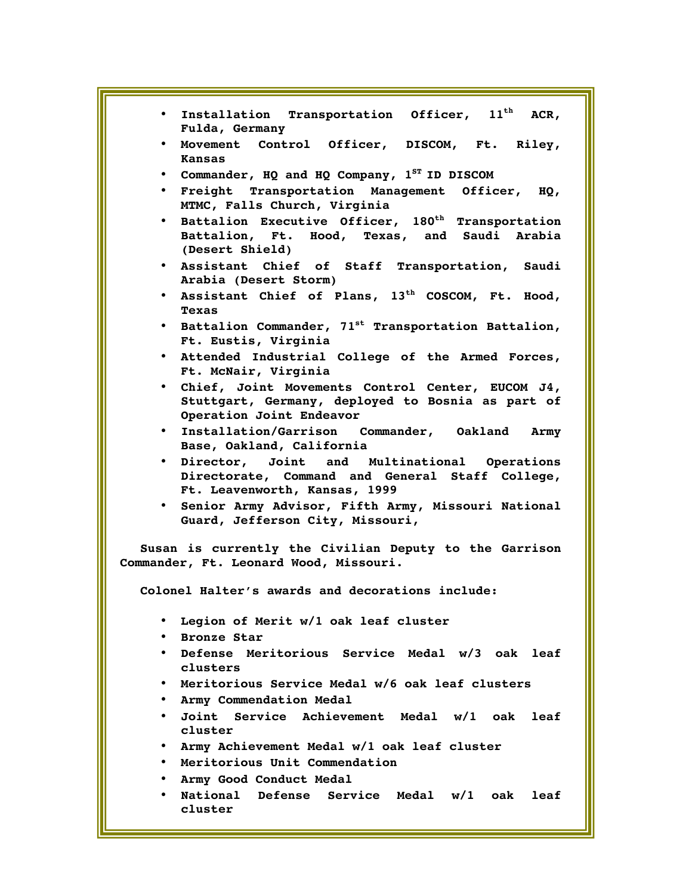| * Installation Transportation Officer, 11 <sup>th</sup> ACR,<br>Fulda, Germany                                                      |
|-------------------------------------------------------------------------------------------------------------------------------------|
| . Movement Control Officer, DISCOM, Ft. Riley,<br>Kansas                                                                            |
| • Commander, HQ and HQ Company, 1sr ID DISCOM                                                                                       |
| • Freight Transportation Management Officer, HQ,<br>MTMC, Falls Church, Virginia                                                    |
| • Battalion Executive Officer, 180 <sup>th</sup> Transportation<br>Battalion, Ft. Hood, Texas, and Saudi Arabia<br>(Desert Shield)  |
| . Assistant Chief of Staff Transportation, Saudi<br>Arabia (Desert Storm)                                                           |
| . Assistant Chief of Plans, 13 <sup>th</sup> COSCOM, Ft. Hood,<br><b>Texas</b>                                                      |
| • Battalion Commander, 71 <sup>st</sup> Transportation Battalion,<br>Ft. Eustis, Virginia                                           |
| . Attended Industrial College of the Armed Forces,<br>Ft. McNair, Virginia                                                          |
| . Chief, Joint Movements Control Center, EUCOM J4,<br>Stuttgart, Germany, deployed to Bosnia as part of<br>Operation Joint Endeavor |
| . Installation/Garrison Commander, Oakland Army<br>Base, Oakland, California                                                        |
| · Director, Joint and Multinational Operations<br>Directorate, Command and General Staff College,<br>Ft. Leavenworth, Kansas, 1999  |
| · Senior Army Advisor, Fifth Army, Missouri National<br>Guard, Jefferson City, Missouri,                                            |
| Susan is currently the Civilian Deputy to the Garrison<br>Commander, Ft. Leonard Wood, Missouri.                                    |
| Colonel Halter's awards and decorations include:                                                                                    |
| Legion of Merit w/1 oak leaf cluster<br>$\bullet$<br><b>Bronze Star</b><br>$\bullet$                                                |
| • Defense Meritorious Service Medal w/3 oak leaf<br>clusters                                                                        |
| Meritorious Service Medal w/6 oak leaf clusters<br>$\bullet$                                                                        |
| Army Commendation Medal<br>$\bullet$                                                                                                |
| Joint Service Achievement Medal w/1 oak leaf<br>$\bullet$<br>cluster                                                                |
| Army Achievement Medal w/1 oak leaf cluster<br>$\bullet$                                                                            |
| . Meritorious Unit Commendation                                                                                                     |
| Army Good Conduct Medal<br>$\bullet$                                                                                                |
| National Defense Service Medal w/1 oak<br>leaf<br>$\bullet$<br>cluster                                                              |